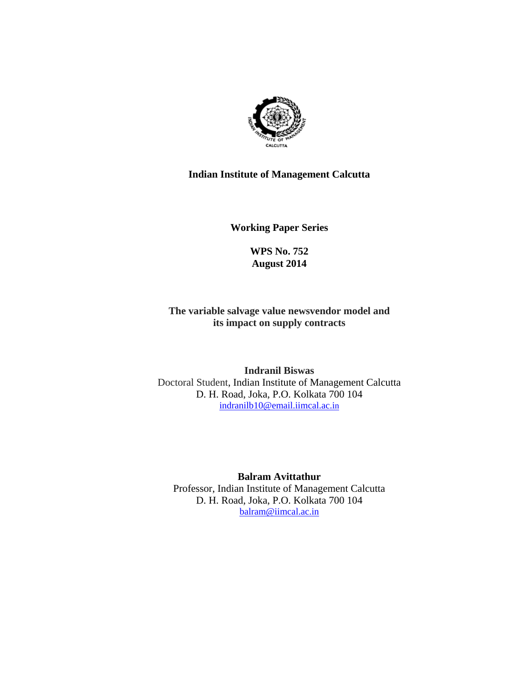

# **Indian Institute of Management Calcutta**

**Working Paper Series** 

**WPS No. 752 August 2014**

**The variable salvage value newsvendor model and its impact on supply contracts**

**Indranil Biswas**  Doctoral Student, Indian Institute of Management Calcutta D. H. Road, Joka, P.O. Kolkata 700 104 indranilb10@email.iimcal.ac.in

**Balram Avittathur**  Professor, Indian Institute of Management Calcutta D. H. Road, Joka, P.O. Kolkata 700 104 balram@iimcal.ac.in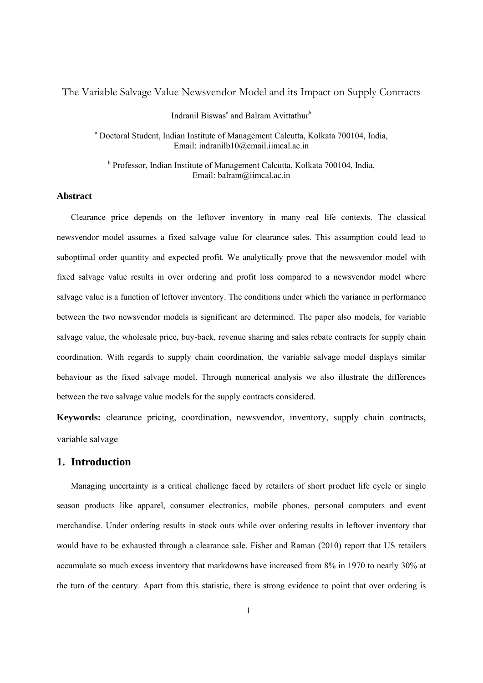The Variable Salvage Value Newsvendor Model and its Impact on Supply Contracts

## Indranil Biswas<sup>a</sup> and Balram Avittathur<sup>b</sup>

a Doctoral Student, Indian Institute of Management Calcutta, Kolkata 700104, India, Email: indranilb10@email.iimcal.ac.in

<sup>b</sup> Professor, Indian Institute of Management Calcutta, Kolkata 700104, India, Email: balram@iimcal.ac.in

## **Abstract**

Clearance price depends on the leftover inventory in many real life contexts. The classical newsvendor model assumes a fixed salvage value for clearance sales. This assumption could lead to suboptimal order quantity and expected profit. We analytically prove that the newsvendor model with fixed salvage value results in over ordering and profit loss compared to a newsvendor model where salvage value is a function of leftover inventory. The conditions under which the variance in performance between the two newsvendor models is significant are determined. The paper also models, for variable salvage value, the wholesale price, buy-back, revenue sharing and sales rebate contracts for supply chain coordination. With regards to supply chain coordination, the variable salvage model displays similar behaviour as the fixed salvage model. Through numerical analysis we also illustrate the differences between the two salvage value models for the supply contracts considered.

**Keywords:** clearance pricing, coordination, newsvendor, inventory, supply chain contracts, variable salvage

# **1. Introduction**

Managing uncertainty is a critical challenge faced by retailers of short product life cycle or single season products like apparel, consumer electronics, mobile phones, personal computers and event merchandise. Under ordering results in stock outs while over ordering results in leftover inventory that would have to be exhausted through a clearance sale. Fisher and Raman (2010) report that US retailers accumulate so much excess inventory that markdowns have increased from 8% in 1970 to nearly 30% at the turn of the century. Apart from this statistic, there is strong evidence to point that over ordering is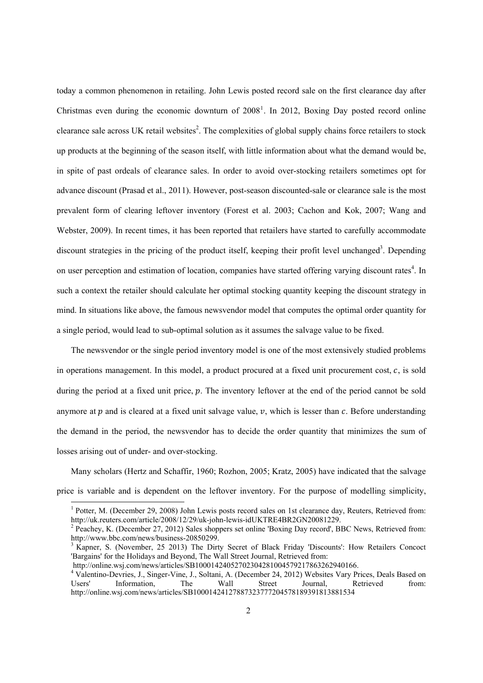today a common phenomenon in retailing. John Lewis posted record sale on the first clearance day after Christmas even during the economic downturn of  $2008<sup>1</sup>$ . In 2012, Boxing Day posted record online clearance sale across UK retail websites<sup>2</sup>. The complexities of global supply chains force retailers to stock up products at the beginning of the season itself, with little information about what the demand would be, in spite of past ordeals of clearance sales. In order to avoid over-stocking retailers sometimes opt for advance discount (Prasad et al., 2011). However, post-season discounted-sale or clearance sale is the most prevalent form of clearing leftover inventory (Forest et al. 2003; Cachon and Kok, 2007; Wang and Webster, 2009). In recent times, it has been reported that retailers have started to carefully accommodate discount strategies in the pricing of the product itself, keeping their profit level unchanged<sup>3</sup>. Depending on user perception and estimation of location, companies have started offering varying discount rates<sup>4</sup>. In such a context the retailer should calculate her optimal stocking quantity keeping the discount strategy in mind. In situations like above, the famous newsvendor model that computes the optimal order quantity for a single period, would lead to sub-optimal solution as it assumes the salvage value to be fixed.

The newsvendor or the single period inventory model is one of the most extensively studied problems in operations management. In this model, a product procured at a fixed unit procurement cost,  $c$ , is sold during the period at a fixed unit price,  $p$ . The inventory leftover at the end of the period cannot be sold anymore at  $p$  and is cleared at a fixed unit salvage value,  $v$ , which is lesser than  $c$ . Before understanding the demand in the period, the newsvendor has to decide the order quantity that minimizes the sum of losses arising out of under- and over-stocking.

Many scholars (Hertz and Schaffir, 1960; Rozhon, 2005; Kratz, 2005) have indicated that the salvage price is variable and is dependent on the leftover inventory. For the purpose of modelling simplicity,

 $\overline{a}$ 

<sup>&</sup>lt;sup>1</sup> Potter, M. (December 29, 2008) John Lewis posts record sales on 1st clearance day, Reuters, Retrieved from: http://uk.reuters.com/article/2008/12/29/uk-john-lewis-idUKTRE4BR2GN20081229.

<sup>&</sup>lt;sup>2</sup> Peachey, K. (December 27, 2012) Sales shoppers set online 'Boxing Day record', BBC News, Retrieved from: http://www.bbc.com/news/business-20850299.

<sup>&</sup>lt;sup>3</sup> Kapner, S. (November, 25 2013) The Dirty Secret of Black Friday 'Discounts': How Retailers Concoct 'Bargains' for the Holidays and Beyond, The Wall Street Journal, Retrieved from:

http://online.wsj.com/news/articles/SB10001424052702304281004579217863262940166.

<sup>&</sup>lt;sup>4</sup> Valentino-Devries, J., Singer-Vine, J., Soltani, A. (December 24, 2012) Websites Vary Prices, Deals Based on Users' Information, The Wall Street Journal, Retrieved from: http://online.wsj.com/news/articles/SB10001424127887323777204578189391813881534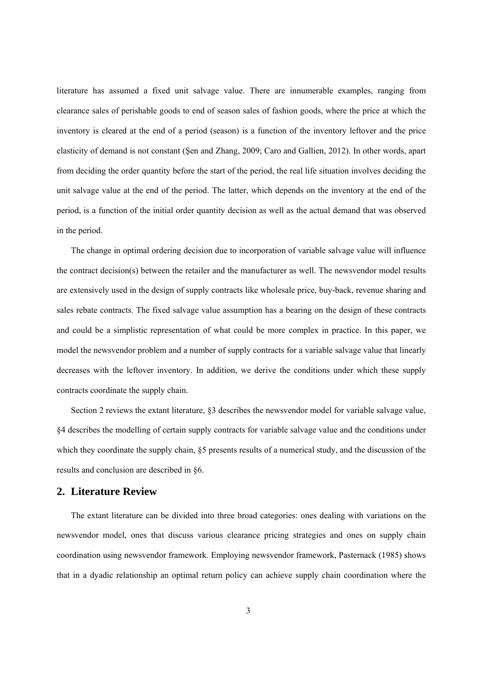literature has assumed a fixed unit salvage value. There are innumerable examples, ranging from clearance sales of perishable goods to end of season sales of fashion goods, where the price at which the inventory is cleared at the end of a period (season) is a function of the inventory leftover and the price elasticity of demand is not constant (Şen and Zhang, 2009; Caro and Gallien, 2012). In other words, apart from deciding the order quantity before the start of the period, the real life situation involves deciding the unit salvage value at the end of the period. The latter, which depends on the inventory at the end of the period, is a function of the initial order quantity decision as well as the actual demand that was observed in the period.

The change in optimal ordering decision due to incorporation of variable salvage value will influence the contract decision(s) between the retailer and the manufacturer as well. The newsvendor model results are extensively used in the design of supply contracts like wholesale price, buy-back, revenue sharing and sales rebate contracts. The fixed salvage value assumption has a bearing on the design of these contracts and could be a simplistic representation of what could be more complex in practice. In this paper, we model the newsvendor problem and a number of supply contracts for a variable salvage value that linearly decreases with the leftover inventory. In addition, we derive the conditions under which these supply contracts coordinate the supply chain.

Section 2 reviews the extant literature, §3 describes the newsvendor model for variable salvage value, §4 describes the modelling of certain supply contracts for variable salvage value and the conditions under which they coordinate the supply chain,  $\S 5$  presents results of a numerical study, and the discussion of the results and conclusion are described in §6.

## **2. Literature Review**

The extant literature can be divided into three broad categories: ones dealing with variations on the newsvendor model, ones that discuss various clearance pricing strategies and ones on supply chain coordination using newsvendor framework. Employing newsvendor framework, Pasternack (1985) shows that in a dyadic relationship an optimal return policy can achieve supply chain coordination where the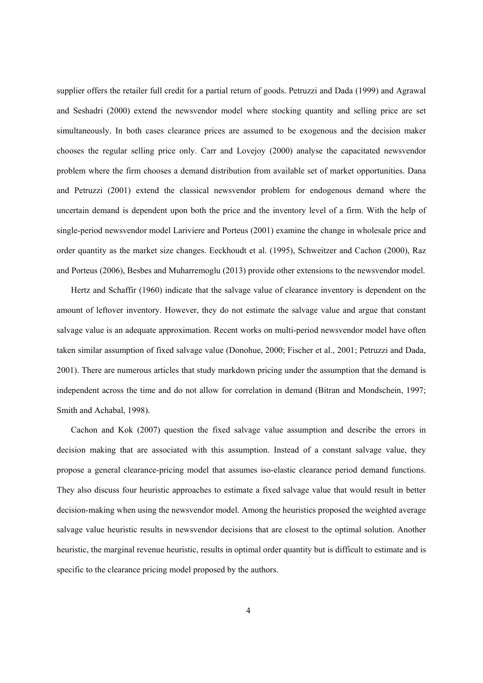supplier offers the retailer full credit for a partial return of goods. Petruzzi and Dada (1999) and Agrawal and Seshadri (2000) extend the newsvendor model where stocking quantity and selling price are set simultaneously. In both cases clearance prices are assumed to be exogenous and the decision maker chooses the regular selling price only. Carr and Lovejoy (2000) analyse the capacitated newsvendor problem where the firm chooses a demand distribution from available set of market opportunities. Dana and Petruzzi (2001) extend the classical newsvendor problem for endogenous demand where the uncertain demand is dependent upon both the price and the inventory level of a firm. With the help of single-period newsvendor model Lariviere and Porteus (2001) examine the change in wholesale price and order quantity as the market size changes. Eeckhoudt et al. (1995), Schweitzer and Cachon (2000), Raz and Porteus (2006), Besbes and Muharremoglu (2013) provide other extensions to the newsvendor model.

Hertz and Schaffir (1960) indicate that the salvage value of clearance inventory is dependent on the amount of leftover inventory. However, they do not estimate the salvage value and argue that constant salvage value is an adequate approximation. Recent works on multi-period newsvendor model have often taken similar assumption of fixed salvage value (Donohue, 2000; Fischer et al., 2001; Petruzzi and Dada, 2001). There are numerous articles that study markdown pricing under the assumption that the demand is independent across the time and do not allow for correlation in demand (Bitran and Mondschein, 1997; Smith and Achabal, 1998).

Cachon and Kok (2007) question the fixed salvage value assumption and describe the errors in decision making that are associated with this assumption. Instead of a constant salvage value, they propose a general clearance-pricing model that assumes iso-elastic clearance period demand functions. They also discuss four heuristic approaches to estimate a fixed salvage value that would result in better decision-making when using the newsvendor model. Among the heuristics proposed the weighted average salvage value heuristic results in newsvendor decisions that are closest to the optimal solution. Another heuristic, the marginal revenue heuristic, results in optimal order quantity but is difficult to estimate and is specific to the clearance pricing model proposed by the authors.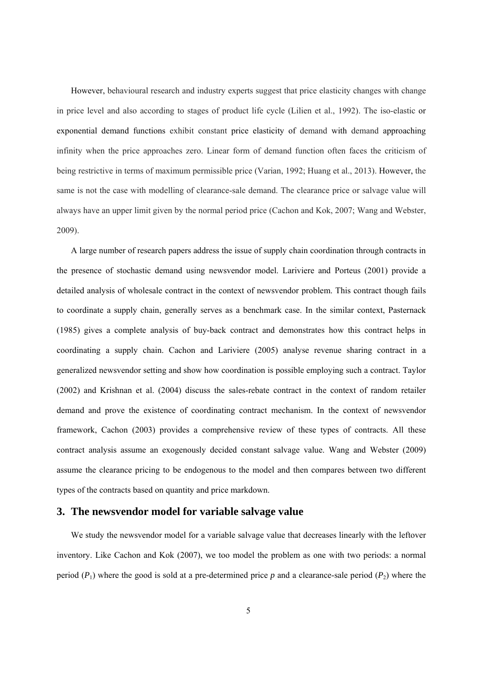However, behavioural research and industry experts suggest that price elasticity changes with change in price level and also according to stages of product life cycle (Lilien et al., 1992). The iso-elastic or exponential demand functions exhibit constant price elasticity of demand with demand approaching infinity when the price approaches zero. Linear form of demand function often faces the criticism of being restrictive in terms of maximum permissible price (Varian, 1992; Huang et al., 2013). However, the same is not the case with modelling of clearance-sale demand. The clearance price or salvage value will always have an upper limit given by the normal period price (Cachon and Kok, 2007; Wang and Webster, 2009).

A large number of research papers address the issue of supply chain coordination through contracts in the presence of stochastic demand using newsvendor model. Lariviere and Porteus (2001) provide a detailed analysis of wholesale contract in the context of newsvendor problem. This contract though fails to coordinate a supply chain, generally serves as a benchmark case. In the similar context, Pasternack (1985) gives a complete analysis of buy-back contract and demonstrates how this contract helps in coordinating a supply chain. Cachon and Lariviere (2005) analyse revenue sharing contract in a generalized newsvendor setting and show how coordination is possible employing such a contract. Taylor (2002) and Krishnan et al. (2004) discuss the sales-rebate contract in the context of random retailer demand and prove the existence of coordinating contract mechanism. In the context of newsvendor framework, Cachon (2003) provides a comprehensive review of these types of contracts. All these contract analysis assume an exogenously decided constant salvage value. Wang and Webster (2009) assume the clearance pricing to be endogenous to the model and then compares between two different types of the contracts based on quantity and price markdown.

## **3. The newsvendor model for variable salvage value**

We study the newsvendor model for a variable salvage value that decreases linearly with the leftover inventory. Like Cachon and Kok (2007), we too model the problem as one with two periods: a normal period  $(P_1)$  where the good is sold at a pre-determined price p and a clearance-sale period  $(P_2)$  where the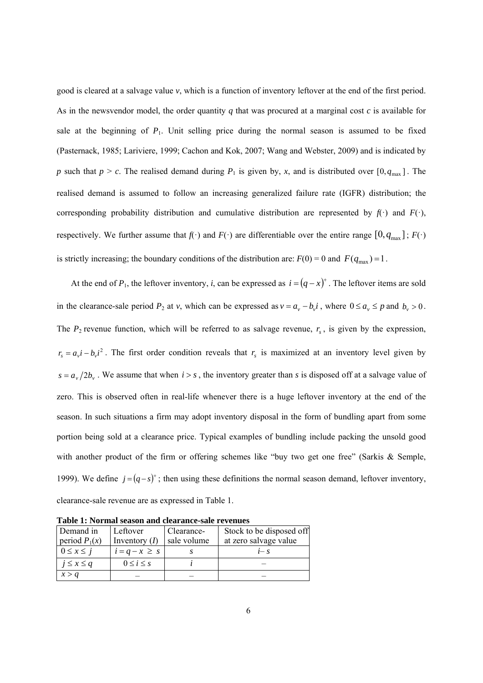good is cleared at a salvage value *v*, which is a function of inventory leftover at the end of the first period. As in the newsvendor model, the order quantity  $q$  that was procured at a marginal cost  $c$  is available for sale at the beginning of  $P_1$ . Unit selling price during the normal season is assumed to be fixed (Pasternack, 1985; Lariviere, 1999; Cachon and Kok, 2007; Wang and Webster, 2009) and is indicated by *p* such that  $p > c$ . The realised demand during  $P_1$  is given by, *x*, and is distributed over  $[0, q_{max}]$ . The realised demand is assumed to follow an increasing generalized failure rate (IGFR) distribution; the corresponding probability distribution and cumulative distribution are represented by  $f(\cdot)$  and  $F(\cdot)$ , respectively. We further assume that  $f(\cdot)$  and  $F(\cdot)$  are differentiable over the entire range  $[0, q_{\text{max}}]$ ;  $F(\cdot)$ is strictly increasing; the boundary conditions of the distribution are:  $F(0) = 0$  and  $F(q_{\text{max}}) = 1$ .

At the end of  $P_1$ , the leftover inventory, *i*, can be expressed as  $i = (q - x)^+$ . The leftover items are sold in the clearance-sale period  $P_2$  at *v*, which can be expressed as  $v = a_v - b_v i$ , where  $0 \le a_v \le p$  and  $b_v > 0$ . The  $P_2$  revenue function, which will be referred to as salvage revenue,  $r_s$ , is given by the expression,  $r_s = a_r i - b_r i^2$ . The first order condition reveals that  $r_s$  is maximized at an inventory level given by  $s = a_v/2b_v$ . We assume that when  $i > s$ , the inventory greater than *s* is disposed off at a salvage value of zero. This is observed often in real-life whenever there is a huge leftover inventory at the end of the season. In such situations a firm may adopt inventory disposal in the form of bundling apart from some portion being sold at a clearance price. Typical examples of bundling include packing the unsold good with another product of the firm or offering schemes like "buy two get one free" (Sarkis & Semple, 1999). We define  $j = (q - s)^{+}$ ; then using these definitions the normal season demand, leftover inventory, clearance-sale revenue are as expressed in Table 1.

|                   | Table 1. I'villiai season and cicalance-saic Fevenues |             |                          |
|-------------------|-------------------------------------------------------|-------------|--------------------------|
| Demand in         | Leftover                                              | Clearance-  | Stock to be disposed off |
| period $P_1(x)$   | Inventory $(I)$                                       | sale volume | at zero salvage value    |
| $0 \leq x \leq j$ | $i = q - x \geq s$                                    |             | $i - s$                  |
| $j \leq x \leq q$ | $0 \leq i \leq s$                                     |             |                          |
| x > q             |                                                       |             |                          |

**Table 1: Normal season and clearance-sale revenues**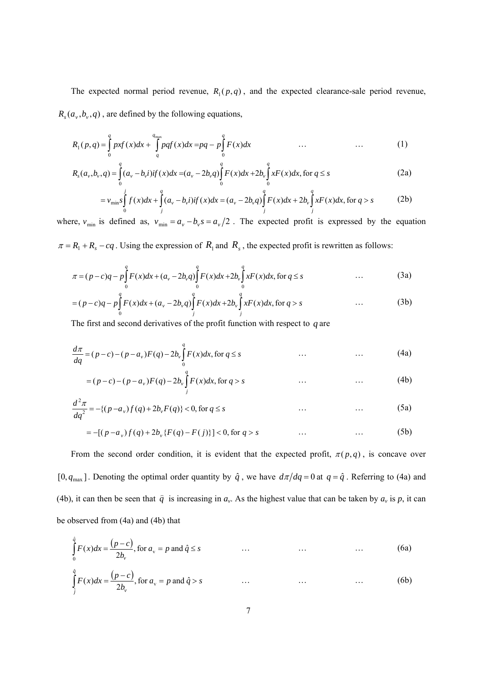The expected normal period revenue,  $R_1(p, q)$ , and the expected clearance-sale period revenue,  $R_s(a_v, b_v, q)$ , are defined by the following equations,

$$
R_1(p,q) = \int_0^q pxf(x)dx + \int_q^{q_{\text{max}}} pqf(x)dx = pq - p\int_0^q F(x)dx \qquad \qquad \dots \qquad \qquad (1)
$$

$$
R_s(a_v, b_v, q) = \int_0^q (a_v - b_v i) i f(x) dx = (a_v - 2b_v q) \int_0^q F(x) dx + 2b_v \int_0^q x F(x) dx, \text{ for } q \le s
$$
 (2a)

$$
=v_{\min} s \int_{0}^{j} f(x) dx + \int_{j}^{q} (a_{v} - b_{v}i) if(x) dx = (a_{v} - 2b_{v}q) \int_{j}^{q} F(x) dx + 2b_{v} \int_{j}^{q} xF(x) dx, \text{ for } q > s
$$
 (2b)

where,  $v_{\min}$  is defined as,  $v_{\min} = a_v - b_v s = a_v/2$ . The expected profit is expressed by the equation  $\pi = R_1 + R_s - cq$ . Using the expression of  $R_1$  and  $R_s$ , the expected profit is rewritten as follows:

$$
\pi = (p - c)q - p \int_{0}^{q} F(x)dx + (a_v - 2b_v q) \int_{0}^{q} F(x)dx + 2b_v \int_{0}^{q} xF(x)dx, \text{ for } q \le s \tag{3a}
$$

$$
= (p - c)q - p \int_{0}^{q} F(x)dx + (a_v - 2b_v q) \int_{j}^{q} F(x)dx + 2b_v \int_{j}^{q} xF(x)dx, \text{ for } q > s
$$
 (3b)

The first and second derivatives of the profit function with respect to *q* are

$$
\frac{d\pi}{dq} = (p - c) - (p - a_v)F(q) - 2b_v \int_0^q F(x)dx, \text{ for } q \le s \qquad \qquad \dots \qquad \qquad \dots \qquad (4a)
$$

$$
= (p - c) - (p - a_v)F(q) - 2b_v \int_{i}^{q} F(x)dx, \text{ for } q > s \qquad ... \qquad ... \qquad (4b)
$$

$$
\frac{d^2 \pi}{dq^2} = -\{(p - a_v)f(q) + 2b_v F(q)\} < 0, \text{ for } q \le s \tag{5a}
$$

$$
= -[(p - av)f(q) + 2bv {F(q) - F(j)}] < 0, \text{ for } q > s
$$
 ... \t(5b)

From the second order condition, it is evident that the expected profit,  $\pi(p,q)$ , is concave over [0,  $q_{\text{max}}$ ]. Denoting the optimal order quantity by  $\hat{q}$ , we have  $d\pi/dq = 0$  at  $q = \hat{q}$ . Referring to (4a) and (4b), it can then be seen that  $\hat{q}$  is increasing in  $a_v$ . As the highest value that can be taken by  $a_v$  is p, it can be observed from (4a) and (4b) that

$$
\int_{0}^{\hat{q}} F(x)dx = \frac{(p-c)}{2b_v}, \text{ for } a_v = p \text{ and } \hat{q} \le s \qquad \qquad \dots \qquad \qquad \dots \qquad \qquad \dots \qquad (6a)
$$

$$
\int_{\hat{j}}^{\hat{q}} F(x)dx = \frac{(p-c)}{2b_v}, \text{ for } a_v = p \text{ and } \hat{q} > s \qquad \qquad \dots \qquad \qquad \dots \qquad \qquad \dots \qquad (6b)
$$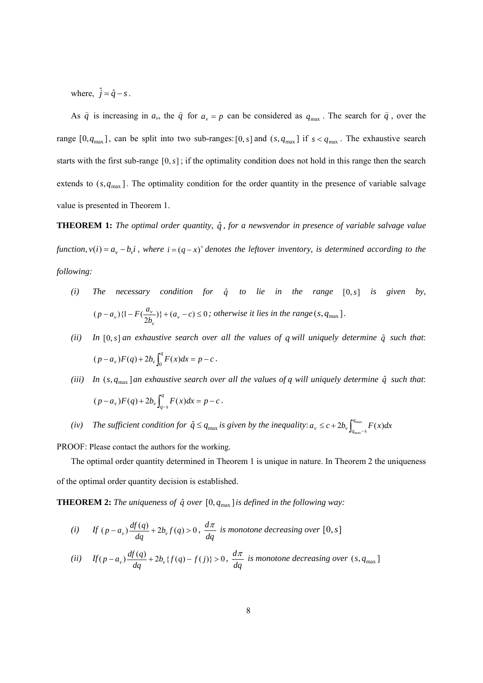where,  $\hat{j} = \hat{q} - s$ .

As  $\hat{q}$  is increasing in  $a_v$ , the  $\hat{q}$  for  $a_v = p$  can be considered as  $q_{\text{max}}$ . The search for  $\hat{q}$ , over the range  $[0, q_{\text{max}}]$ , can be split into two sub-ranges:  $[0, s]$  and  $(s, q_{\text{max}}]$  if  $s < q_{\text{max}}$ . The exhaustive search starts with the first sub-range  $[0, s]$ ; if the optimality condition does not hold in this range then the search extends to  $(s, q_{\text{max}})$ . The optimality condition for the order quantity in the presence of variable salvage value is presented in Theorem 1.

**THEOREM 1:** *The optimal order quantity,*  $\hat{q}$ *, for a newsvendor in presence of variable salvage value function*,  $v(i) = a_v - b_v i$ , where  $i = (q - x)^+$  denotes the leftover inventory, is determined according to the *following:*

- $(i)$  *The necessary condition for*  $\hat{q}$  *to lie in the range*  $[0, s]$  *is given by*,  $(p - a_v)\left\{1 - F\left(\frac{a_v}{2b_v}\right)\right\} + (a_v - c) \le 0$  $p - a_v$   $\{1 - F(\frac{a_v}{2b_v})\} + (a_v - c) \le 0$ ; otherwise it lies in the range  $(s, q_{max})$ .
- *(ii)* In  $[0, s]$  *an exhaustive search over all the values of q will uniquely determine*  $\hat{q}$  *such that*:  $(p - a_v)F(q) + 2b_v \int_0^q F(x)dx = p - c$ .
- *(iii)* In  $(s, q_{\text{max}})$  *an exhaustive search over all the values of q will uniquely determine*  $\hat{q}$  *such that*:  $(p - a_v)F(q) + 2b_v \int_{q-s}^{q} F(x)dx = p - c$ .
- *(iv)* The sufficient condition for  $\hat{q} \leq q_{\text{max}}$  is given by the inequality:  $a_v \leq c + 2b_v \int_{q_{\text{max}}-s}^{q_{\text{max}}} F(x) dx$

PROOF: Please contact the authors for the working.

The optimal order quantity determined in Theorem 1 is unique in nature. In Theorem 2 the uniqueness of the optimal order quantity decision is established.

**THEOREM 2:** *The uniqueness of*  $\hat{q}$  *over*  $[0, q_{\text{max}}]$  *is defined in the following way:* 

(i) If 
$$
(p - a_v) \frac{df(q)}{dq} + 2b_v f(q) > 0
$$
,  $\frac{d\pi}{dq}$  is monotone decreasing over [0, s]

(ii) 
$$
If (p - a_v) \frac{df(q)}{dq} + 2b_v \{f(q) - f(j)\} > 0, \frac{d\pi}{dq} \text{ is monotone decreasing over } (s, q_{\text{max}})
$$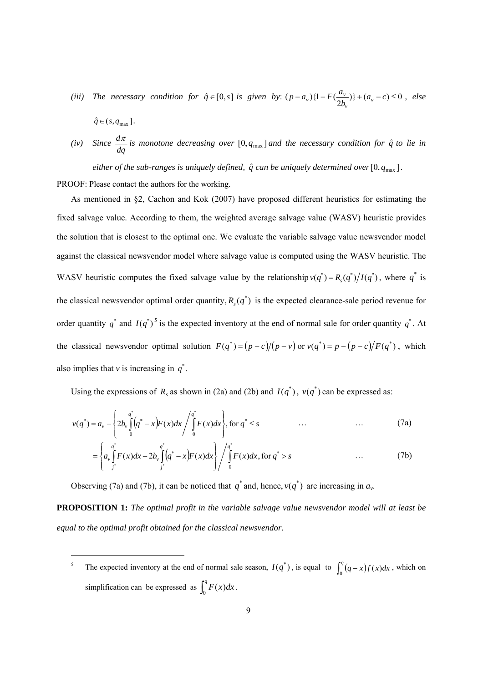*(iii) The necessary condition for*  $\hat{q} \in [0, s]$  *<i>is given by:*  $(p - a_v)\left\{1 - F\left(\frac{a_v}{2b_v}\right)\right\} + (a_v - c) \le 0$  $p - a_v$  } {1 –  $F(\frac{a_v}{2l})$  +  $(a_v)$ *v*  $(v_y)$ {1 -  $F(\frac{a_v}{2l})$ } +  $(a_v - c) \le 0$ , else

$$
\hat{q} \in (s, q_{\max}).
$$

l

*(iv) Since*   $\frac{d\pi}{dq}$  *is monotone decreasing over* [0,  $q_{\text{max}}$ ] *and the necessary condition for*  $\hat{q}$  *to lie in*  $dq$ 

*either of the sub-ranges is uniquely defined,*  $\hat{q}$  *can be uniquely determined over*[0, $q_{\text{max}}$ ].

PROOF: Please contact the authors for the working.

As mentioned in §2, Cachon and Kok (2007) have proposed different heuristics for estimating the fixed salvage value. According to them, the weighted average salvage value (WASV) heuristic provides the solution that is closest to the optimal one. We evaluate the variable salvage value newsvendor model against the classical newsvendor model where salvage value is computed using the WASV heuristic. The WASV heuristic computes the fixed salvage value by the relationship  $v(q^*) = R_s(q^*)/I(q^*)$ , where  $q^*$  is the classical newsvendor optimal order quantity,  $R_s(q^*)$  is the expected clearance-sale period revenue for order quantity  $q^*$  and  $I(q^*)^5$  is the expected inventory at the end of normal sale for order quantity  $q^*$ . At the classical newsvendor optimal solution  $F(q^*) = (p - c)/(p - v)$  or  $v(q^*) = p - (p - c)/F(q^*)$ , which also implies that  $\nu$  is increasing in  $q^*$ .

Using the expressions of  $R_s$  as shown in (2a) and (2b) and  $I(q^*)$ ,  $v(q^*)$  can be expressed as:

$$
v(q^*) = a_v - \left\{ 2b_v \int_0^{q^*} (q^* - x) F(x) dx \middle/ \int_0^{q^*} F(x) dx \right\}, \text{ for } q^* \le s \qquad \qquad \dots \qquad \qquad (7a)
$$

$$
= \left\{ a_{\nu} \int_{j^*}^{q^*} F(x) dx - 2b_{\nu} \int_{j^*}^{q^*} (q^* - x) F(x) dx \right\} / \int_{0}^{q^*} F(x) dx, \text{ for } q^* > s \qquad \qquad (7b)
$$

Observing (7a) and (7b), it can be noticed that  $q^*$  and, hence,  $v(q^*)$  are increasing in  $a_v$ .

**PROPOSITION 1:** *The optimal profit in the variable salvage value newsvendor model will at least be equal to the optimal profit obtained for the classical newsvendor.*

<sup>5</sup> The expected inventory at the end of normal sale season,  $I(q^*)$ , is equal to  $\int_0^q (q-x)f(x)dx$ , which on simplification can be expressed as  $\int_0^q F(x) dx$ .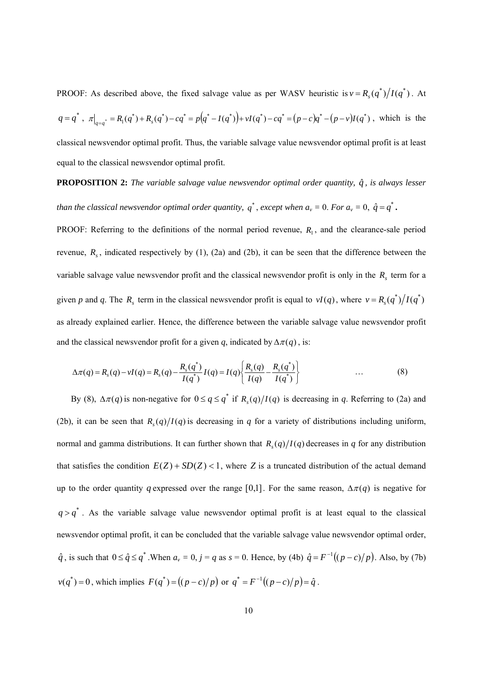PROOF: As described above, the fixed salvage value as per WASV heuristic is  $v = R_s(q^*)/I(q^*)$ . At  $q = q^*$ ,  $\pi|_{q=q^*} = R_1(q^*) + R_s(q^*) - cq^* = p(q^* - I(q^*) + vI(q^*) - cq^* = (p-c)q^* - (p-v)I(q^*)$ , which is the classical newsvendor optimal profit. Thus, the variable salvage value newsvendor optimal profit is at least equal to the classical newsvendor optimal profit.

# **PROPOSITION 2:** *The variable salvage value newsvendor optimal order quantity,*  $\hat{q}$ *, is always lesser than the classical newsvendor optimal order quantity,*  $q^*$ , *except when*  $a_v = 0$ . *For*  $a_v = 0$ ,  $\hat{q} = q^*$ .

PROOF: Referring to the definitions of the normal period revenue,  $R_1$ , and the clearance-sale period revenue,  $R<sub>s</sub>$ , indicated respectively by (1), (2a) and (2b), it can be seen that the difference between the variable salvage value newsvendor profit and the classical newsvendor profit is only in the  $R<sub>s</sub>$  term for a given *p* and *q*. The  $R_s$  term in the classical newsvendor profit is equal to  $vI(q)$ , where  $v = R_s(q^*)/I(q^*)$ as already explained earlier. Hence, the difference between the variable salvage value newsvendor profit and the classical newsvendor profit for a given *q*, indicated by  $\Delta \pi(q)$ , is:

$$
\Delta \pi(q) = R_s(q) - vI(q) = R_s(q) - \frac{R_s(q^*)}{I(q^*)}I(q) = I(q) \left\{ \frac{R_s(q)}{I(q)} - \frac{R_s(q^*)}{I(q^*)} \right\} \tag{8}
$$

By (8),  $\Delta \pi(q)$  is non-negative for  $0 \leq q \leq q^*$  if  $R_q(q)/I(q)$  is decreasing in *q*. Referring to (2a) and (2b), it can be seen that  $R_1(q)/I(q)$  is decreasing in *q* for a variety of distributions including uniform, normal and gamma distributions. It can further shown that  $R_1(q)/I(q)$  decreases in *q* for any distribution that satisfies the condition  $E(Z) + SD(Z) < 1$ , where *Z* is a truncated distribution of the actual demand up to the order quantity *q* expressed over the range [0,1]. For the same reason,  $\Delta \pi(q)$  is negative for  $q > q^*$ . As the variable salvage value newsvendor optimal profit is at least equal to the classical newsvendor optimal profit, it can be concluded that the variable salvage value newsvendor optimal order,  $\hat{q}$ , is such that  $0 \leq \hat{q} \leq q^*$ . When  $a_v = 0$ ,  $j = q$  as  $s = 0$ . Hence, by (4b)  $\hat{q} = F^{-1}((p-c)/p)$ . Also, by (7b)  $v(q^*) = 0$ , which implies  $F(q^*) = ((p - c)/p)$  or  $q^* = F^{-1}((p - c)/p) = \hat{q}$ .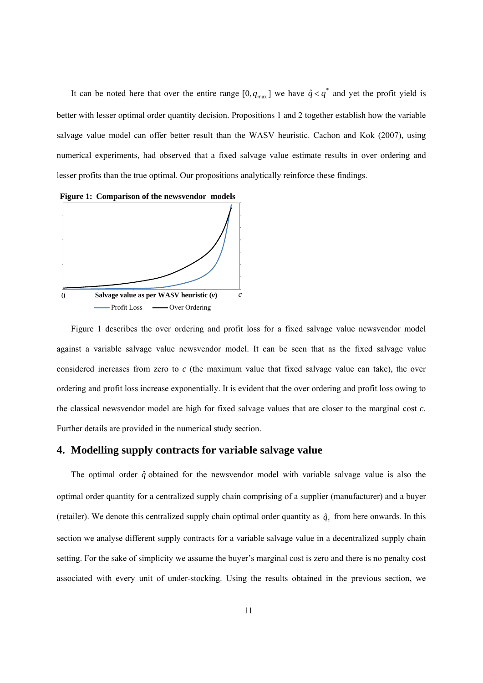It can be noted here that over the entire range  $[0, q_{max}]$  we have  $\hat{q} < q^*$  and yet the profit yield is better with lesser optimal order quantity decision. Propositions 1 and 2 together establish how the variable salvage value model can offer better result than the WASV heuristic. Cachon and Kok (2007), using numerical experiments, had observed that a fixed salvage value estimate results in over ordering and lesser profits than the true optimal. Our propositions analytically reinforce these findings.



Figure 1 describes the over ordering and profit loss for a fixed salvage value newsvendor model against a variable salvage value newsvendor model. It can be seen that as the fixed salvage value considered increases from zero to *c* (the maximum value that fixed salvage value can take), the over ordering and profit loss increase exponentially. It is evident that the over ordering and profit loss owing to the classical newsvendor model are high for fixed salvage values that are closer to the marginal cost *c*. Further details are provided in the numerical study section.

## **4. Modelling supply contracts for variable salvage value**

The optimal order  $\hat{q}$  obtained for the newsvendor model with variable salvage value is also the optimal order quantity for a centralized supply chain comprising of a supplier (manufacturer) and a buyer (retailer). We denote this centralized supply chain optimal order quantity as  $\hat{q}_c$  from here onwards. In this section we analyse different supply contracts for a variable salvage value in a decentralized supply chain setting. For the sake of simplicity we assume the buyer's marginal cost is zero and there is no penalty cost associated with every unit of under-stocking. Using the results obtained in the previous section, we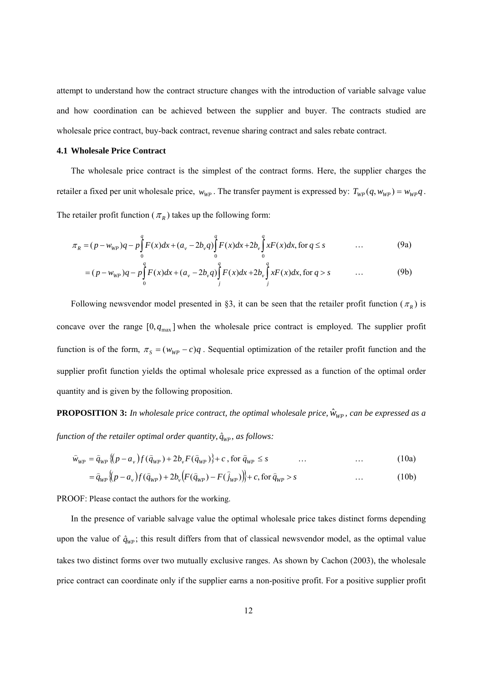attempt to understand how the contract structure changes with the introduction of variable salvage value and how coordination can be achieved between the supplier and buyer. The contracts studied are wholesale price contract, buy-back contract, revenue sharing contract and sales rebate contract.

#### **4.1 Wholesale Price Contract**

The wholesale price contract is the simplest of the contract forms. Here, the supplier charges the retailer a fixed per unit wholesale price,  $w_{WP}$ . The transfer payment is expressed by:  $T_{WP}(q, w_{WP}) = w_{WP}q$ . The retailer profit function ( $\pi_R$ ) takes up the following form:

$$
\pi_R = (p - w_{WP})q - p \int_0^q F(x) dx + (a_v - 2b_v q) \int_0^q F(x) dx + 2b_v \int_0^q x F(x) dx, \text{ for } q \le s \tag{9a}
$$

$$
= (p - w_{WP})q - p \int_{0}^{q} F(x)dx + (a_v - 2b_v q) \int_{j}^{q} F(x)dx + 2b_v \int_{j}^{q} xF(x)dx, \text{ for } q > s \qquad \dots \qquad (9b)
$$

Following newsvendor model presented in §3, it can be seen that the retailer profit function ( $\pi_R$ ) is concave over the range  $[0, q_{max}]$  when the wholesale price contract is employed. The supplier profit function is of the form,  $\pi_s = (w_{WP} - c)q$ . Sequential optimization of the retailer profit function and the supplier profit function yields the optimal wholesale price expressed as a function of the optimal order quantity and is given by the following proposition.

**PROPOSITION 3:** *In wholesale price contract, the optimal wholesale price,*  $\hat{w}_{WP}$ *, can be expressed as a function of the retailer optimal order quantity,*  $\hat{q}_{WP}$ *, as follows:* 

$$
\hat{w}_{WP} = \hat{q}_{WP} \{ (p - a_v) f(\hat{q}_{WP}) + 2b_v F(\hat{q}_{WP}) \} + c , \text{ for } \hat{q}_{WP} \le s \tag{10a}
$$

$$
= \hat{q}_{WP} \{ (p - a_v) f(\hat{q}_{WP}) + 2b_v \{ F(\hat{q}_{WP}) - F(\hat{j}_{WP}) \} + c, \text{ for } \hat{q}_{WP} > s \tag{10b}
$$

PROOF: Please contact the authors for the working.

In the presence of variable salvage value the optimal wholesale price takes distinct forms depending upon the value of  $\hat{q}_{WP}$ ; this result differs from that of classical newsvendor model, as the optimal value takes two distinct forms over two mutually exclusive ranges. As shown by Cachon (2003), the wholesale price contract can coordinate only if the supplier earns a non-positive profit. For a positive supplier profit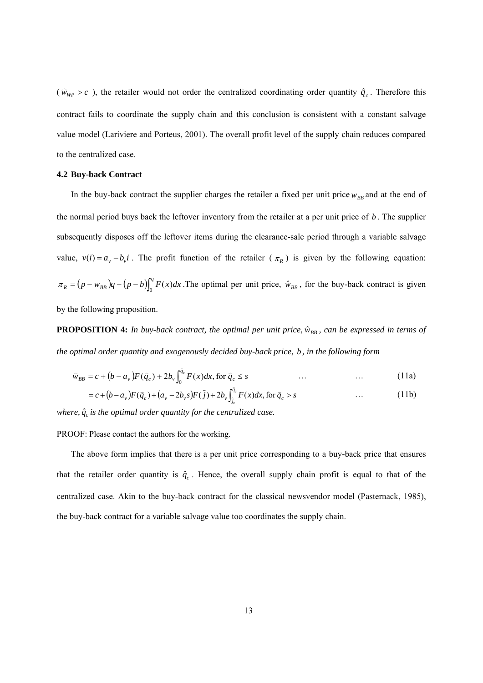( $\hat{w}_{WP} > c$ ), the retailer would not order the centralized coordinating order quantity  $\hat{q}_c$ . Therefore this contract fails to coordinate the supply chain and this conclusion is consistent with a constant salvage value model (Lariviere and Porteus, 2001). The overall profit level of the supply chain reduces compared to the centralized case.

#### **4.2 Buy-back Contract**

In the buy-back contract the supplier charges the retailer a fixed per unit price  $w_{BB}$  and at the end of the normal period buys back the leftover inventory from the retailer at a per unit price of *b* . The supplier subsequently disposes off the leftover items during the clearance-sale period through a variable salvage value,  $v(i) = a_v - b_v i$ . The profit function of the retailer  $(\pi_R)$  is given by the following equation:  $\pi_R = (p - w_{BB})q - (p - b)\int_0^q F(x)dx$ . The optimal per unit price,  $\hat{w}_{BB}$ , for the buy-back contract is given by the following proposition.

**PROPOSITION 4:** *In buy-back contract, the optimal per unit price,*  $\hat{w}_{BB}$ *, can be expressed in terms of the optimal order quantity and exogenously decided buy-back price, b , in the following form*

$$
\widehat{w}_{BB} = c + (b - a_v)F(\widehat{q}_c) + 2b_v \int_0^{\widehat{q}_c} F(x)dx, \text{ for } \widehat{q}_c \le s \qquad \qquad \dots \qquad \qquad \dots \qquad (11a)
$$

$$
= c + (b - a_v)F(\hat{q}_c) + (a_v - 2b_v s)F(\hat{j}) + 2b_v \int_{\hat{j}_c}^{\hat{q}_c} F(x)dx, \text{ for } \hat{q}_c > s \tag{11b}
$$

*where,*  $\hat{q}_c$  *is the optimal order quantity for the centralized case.* 

PROOF: Please contact the authors for the working.

The above form implies that there is a per unit price corresponding to a buy-back price that ensures that the retailer order quantity is  $\hat{q}_c$ . Hence, the overall supply chain profit is equal to that of the centralized case. Akin to the buy-back contract for the classical newsvendor model (Pasternack, 1985), the buy-back contract for a variable salvage value too coordinates the supply chain.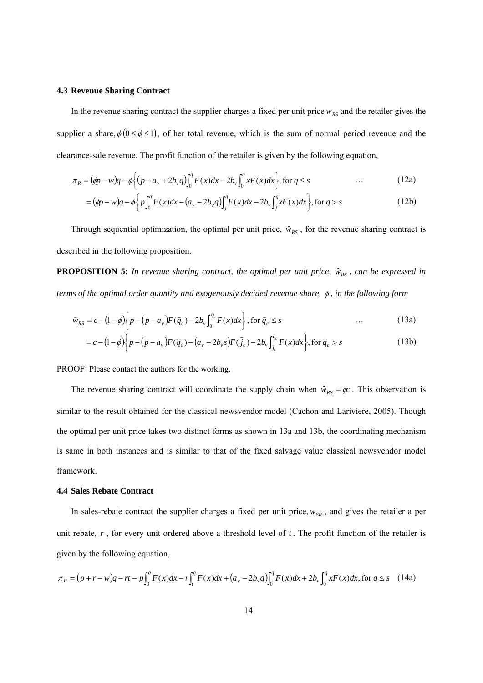#### **4.3 Revenue Sharing Contract**

In the revenue sharing contract the supplier charges a fixed per unit price  $w_{RS}$  and the retailer gives the supplier a share,  $\phi(0 \le \phi \le 1)$ , of her total revenue, which is the sum of normal period revenue and the clearance-sale revenue. The profit function of the retailer is given by the following equation,

$$
\pi_R = (\phi p - w)q - \phi \Big\{ (p - a_v + 2b_v q) \int_0^q F(x) dx - 2b_v \int_0^q x F(x) dx \Big\}, \text{ for } q \le s \tag{12a}
$$

$$
= (\phi p - w)q - \phi \left\{ p \int_0^q F(x) dx - (a_v - 2b_v q) \int_j^q F(x) dx - 2b_v \int_j^q x F(x) dx \right\}, \text{ for } q > s
$$
 (12b)

Through sequential optimization, the optimal per unit price,  $\hat{w}_{RS}$ , for the revenue sharing contract is described in the following proposition.

**PROPOSITION 5:** *In revenue sharing contract, the optimal per unit price,*  $\hat{w}_{RS}$ *, can be expressed in terms of the optimal order quantity and exogenously decided revenue share,*  $\phi$ *, in the following form* 

$$
\hat{w}_{RS} = c - (1 - \phi) \bigg\{ p - (p - a_v) F(\hat{q}_c) - 2b_v \int_0^{\hat{q}_c} F(x) dx \bigg\}, \text{ for } \hat{q}_c \le s \tag{13a}
$$

$$
= c - (1 - \phi) \bigg\{ p - (p - a_v) F(\hat{q}_c) - (a_v - 2b_v s) F(\hat{j}_c) - 2b_v \int_{\hat{j}_c}^{\hat{q}_c} F(x) dx \bigg\}, \text{ for } \hat{q}_c > s
$$
 (13b)

PROOF: Please contact the authors for the working.

The revenue sharing contract will coordinate the supply chain when  $\hat{w}_{RS} = \phi c$ . This observation is similar to the result obtained for the classical newsvendor model (Cachon and Lariviere, 2005). Though the optimal per unit price takes two distinct forms as shown in 13a and 13b, the coordinating mechanism is same in both instances and is similar to that of the fixed salvage value classical newsvendor model framework.

## **4.4 Sales Rebate Contract**

In sales-rebate contract the supplier charges a fixed per unit price,  $w_{SR}$ , and gives the retailer a per unit rebate, *r*, for every unit ordered above a threshold level of *t*. The profit function of the retailer is given by the following equation,

$$
\pi_R = (p + r - w)q - rt - p \int_0^q F(x) dx - r \int_t^q F(x) dx + (a_v - 2b_v q) \int_0^q F(x) dx + 2b_v \int_0^q x F(x) dx, \text{ for } q \le s \quad (14a)
$$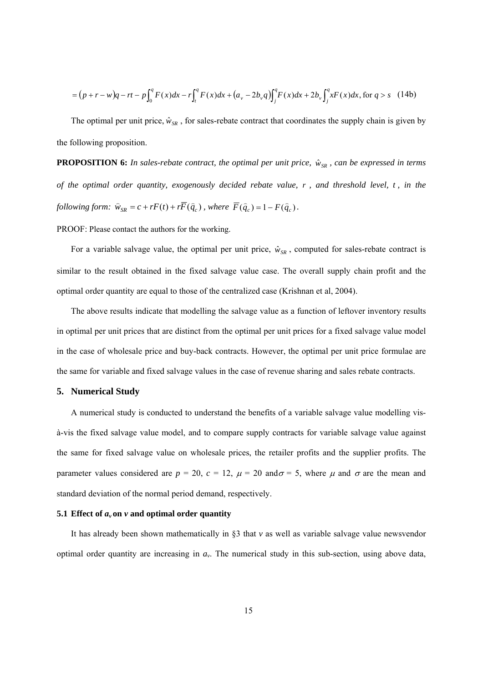$$
= (p + r - w)q - rt - p \int_0^q F(x) dx - r \int_t^q F(x) dx + (a_v - 2b_v q) \int_j^q F(x) dx + 2b_v \int_j^q x F(x) dx, \text{ for } q > s \quad (14b)
$$

The optimal per unit price,  $\hat{w}_{SR}$ , for sales-rebate contract that coordinates the supply chain is given by the following proposition.

**PROPOSITION 6:** *In sales-rebate contract, the optimal per unit price,*  $\hat{w}_{SR}$ *, can be expressed in terms of the optimal order quantity, exogenously decided rebate value, r , and threshold level, t , in the following form:*  $\hat{w}_{SR} = c + rF(t) + r\overline{F}(\hat{q}_c)$ , where  $\overline{F}(\hat{q}_c) = 1 - F(\hat{q}_c)$ .

PROOF: Please contact the authors for the working.

For a variable salvage value, the optimal per unit price,  $\hat{w}_{SR}$ , computed for sales-rebate contract is similar to the result obtained in the fixed salvage value case. The overall supply chain profit and the optimal order quantity are equal to those of the centralized case (Krishnan et al, 2004).

The above results indicate that modelling the salvage value as a function of leftover inventory results in optimal per unit prices that are distinct from the optimal per unit prices for a fixed salvage value model in the case of wholesale price and buy-back contracts. However, the optimal per unit price formulae are the same for variable and fixed salvage values in the case of revenue sharing and sales rebate contracts.

#### **5. Numerical Study**

A numerical study is conducted to understand the benefits of a variable salvage value modelling visà-vis the fixed salvage value model, and to compare supply contracts for variable salvage value against the same for fixed salvage value on wholesale prices, the retailer profits and the supplier profits. The parameter values considered are  $p = 20$ ,  $c = 12$ ,  $\mu = 20$  and  $\sigma = 5$ , where  $\mu$  and  $\sigma$  are the mean and standard deviation of the normal period demand, respectively.

#### **5.1 Effect of**  $a_v$  **on**  $v$  **and optimal order quantity**

It has already been shown mathematically in §3 that *v* as well as variable salvage value newsvendor optimal order quantity are increasing in *av*. The numerical study in this sub-section, using above data,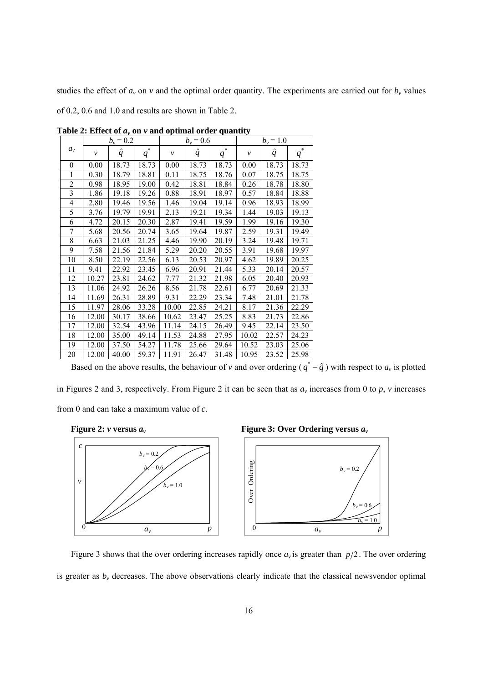studies the effect of  $a<sub>v</sub>$  on  $v$  and the optimal order quantity. The experiments are carried out for  $b<sub>v</sub>$  values

of 0.2, 0.6 and 1.0 and results are shown in Table 2.

|                         |              | $b_v = 0.2$      |        |              | $b_v = 0.6$ |                           | $b_v = 1.0$  |           |                      |  |  |
|-------------------------|--------------|------------------|--------|--------------|-------------|---------------------------|--------------|-----------|----------------------|--|--|
| $a_{\nu}$               | $\mathcal V$ | $\boldsymbol{q}$ | *<br>q | $\mathcal V$ | $\hat{q}$   | $\ast$<br>$q_{\parallel}$ | $\mathcal V$ | $\hat{q}$ | *<br>$q_{\parallel}$ |  |  |
| 0                       | 0.00         | 18.73            | 18.73  | 0.00         | 18.73       | 18.73                     | 0.00         | 18.73     | 18.73                |  |  |
| 1                       | 0.30         | 18.79            | 18.81  | 0.11         | 18.75       | 18.76                     | 0.07         | 18.75     | 18.75                |  |  |
| $\overline{2}$          | 0.98         | 18.95            | 19.00  | 0.42         | 18.81       | 18.84                     | 0.26         | 18.78     | 18.80                |  |  |
| $\overline{\mathbf{3}}$ | 1.86         | 19.18            | 19.26  | 0.88         | 18.91       | 18.97                     | 0.57         | 18.84     | 18.88                |  |  |
| 4                       | 2.80         | 19.46            | 19.56  | 1.46         | 19.04       | 19.14                     | 0.96         | 18.93     | 18.99                |  |  |
| 5                       | 3.76         | 19.79            | 19.91  | 2.13         | 19.21       | 19.34                     | 1.44         | 19.03     | 19.13                |  |  |
| 6                       | 4.72         | 20.15            | 20.30  | 2.87         | 19.41       | 19.59                     | 1.99         | 19.16     | 19.30                |  |  |
| 7                       | 5.68         | 20.56            | 20.74  | 3.65         | 19.64       | 19.87                     | 2.59         | 19.31     | 19.49                |  |  |
| 8                       | 6.63         | 21.03            | 21.25  | 4.46         | 19.90       | 20.19                     | 3.24         | 19.48     | 19.71                |  |  |
| 9                       | 7.58         | 21.56            | 21.84  | 5.29         | 20.20       | 20.55                     | 3.91         | 19.68     | 19.97                |  |  |
| 10                      | 8.50         | 22.19            | 22.56  | 6.13         | 20.53       | 20.97                     | 4.62         | 19.89     | 20.25                |  |  |
| 11                      | 9.41         | 22.92            | 23.45  | 6.96         | 20.91       | 21.44                     | 5.33         | 20.14     | 20.57                |  |  |
| 12                      | 10.27        | 23.81            | 24.62  | 7.77         | 21.32       | 21.98                     | 6.05         | 20.40     | 20.93                |  |  |
| 13                      | 11.06        | 24.92            | 26.26  | 8.56         | 21.78       | 22.61                     | 6.77         | 20.69     | 21.33                |  |  |
| 14                      | 11.69        | 26.31            | 28.89  | 9.31         | 22.29       | 23.34                     | 7.48         | 21.01     | 21.78                |  |  |
| 15                      | 11.97        | 28.06            | 33.28  | 10.00        | 22.85       | 24.21                     | 8.17         | 21.36     | 22.29                |  |  |
| 16                      | 12.00        | 30.17            | 38.66  | 10.62        | 23.47       | 25.25                     | 8.83         | 21.73     | 22.86                |  |  |
| 17                      | 12.00        | 32.54            | 43.96  | 11.14        | 24.15       | 26.49                     | 9.45         | 22.14     | 23.50                |  |  |
| 18                      | 12.00        | 35.00            | 49.14  | 11.53        | 24.88       | 27.95                     | 10.02        | 22.57     | 24.23                |  |  |
| 19                      | 12.00        | 37.50            | 54.27  | 11.78        | 25.66       | 29.64                     | 10.52        | 23.03     | 25.06                |  |  |
| 20                      | 12.00        | 40.00            | 59.37  | 11.91        | 26.47       | 31.48                     | 10.95        | 23.52     | 25.98                |  |  |

**Table 2: Effect of**  $a<sub>v</sub>$  **on**  $v$  **and optimal order quantity** 

Based on the above results, the behaviour of *v* and over ordering  $(q^* - \hat{q})$  with respect to  $a_v$  is plotted

in Figures 2 and 3, respectively. From Figure 2 it can be seen that as  $a<sub>v</sub>$  increases from 0 to  $p$ ,  $v$  increases from 0 and can take a maximum value of *c*.





Figure 3 shows that the over ordering increases rapidly once  $a<sub>v</sub>$  is greater than  $p/2$ . The over ordering is greater as  $b<sub>v</sub>$  decreases. The above observations clearly indicate that the classical newsvendor optimal

 $b_v = 0.6$  $b_v = 1.0$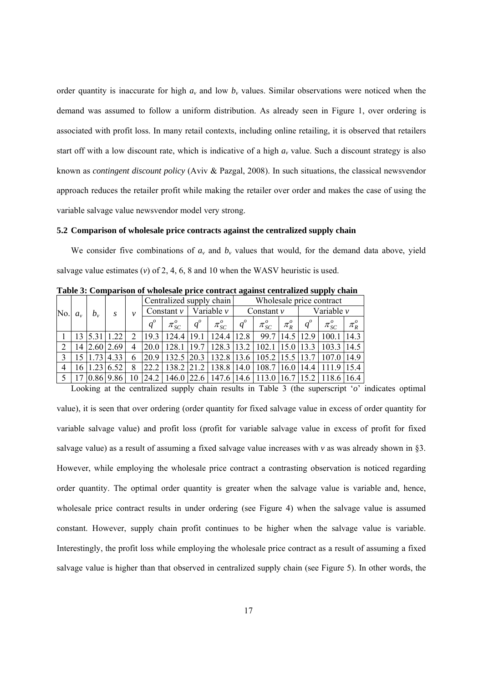order quantity is inaccurate for high  $a<sub>v</sub>$  and low  $b<sub>v</sub>$  values. Similar observations were noticed when the demand was assumed to follow a uniform distribution. As already seen in Figure 1, over ordering is associated with profit loss. In many retail contexts, including online retailing, it is observed that retailers start off with a low discount rate, which is indicative of a high  $a<sub>v</sub>$  value. Such a discount strategy is also known as *contingent discount policy* (Aviv & Pazgal, 2008). In such situations, the classical newsvendor approach reduces the retailer profit while making the retailer over order and makes the case of using the variable salvage value newsvendor model very strong.

#### **5.2 Comparison of wholesale price contracts against the centralized supply chain**

We consider five combinations of  $a<sub>v</sub>$  and  $b<sub>v</sub>$  values that would, for the demand data above, yield salvage value estimates  $(v)$  of 2, 4, 6, 8 and 10 when the WASV heuristic is used.

|                               |                                                      |               |                      |   |                             |                       |                |                                                                                                       |       |                |           |                      | .                                                 |           |
|-------------------------------|------------------------------------------------------|---------------|----------------------|---|-----------------------------|-----------------------|----------------|-------------------------------------------------------------------------------------------------------|-------|----------------|-----------|----------------------|---------------------------------------------------|-----------|
|                               | Centralized supply chain<br>Wholesale price contract |               |                      |   |                             |                       |                |                                                                                                       |       |                |           |                      |                                                   |           |
| No.<br>$b_{\nu}$<br>$a_{\nu}$ |                                                      | $\mathcal{V}$ |                      |   | Constant $v$   Variable $v$ |                       | Constant $\nu$ |                                                                                                       |       | Variable $\nu$ |           |                      |                                                   |           |
|                               |                                                      |               |                      |   |                             | $\pi_{SC}^o$          | $q^o$          | $\pi_{SC}^o$                                                                                          | $q^o$ | $\pi_{SC}^o$   | $\pi_R^o$ | $q^o$                | $\pi_{SC}^o$                                      | $\pi_R^o$ |
|                               | 13 <sup>1</sup>                                      | 5.31          | 1.22                 | 2 |                             |                       |                | 19.3   124.4   19.1   124.4   12.8                                                                    |       |                |           | $99.7$   14.5   12.9 | 100.1                                             | 14.3      |
| 2                             |                                                      |               | 14 2.60 2.69         |   |                             | $20.0$   128.1   19.7 |                |                                                                                                       |       |                |           |                      | 128.3   13.2   102.1   15.0   13.3   103.3   14.5 |           |
| $\overline{3}$                |                                                      |               | 15 1.73 4.33         | 6 |                             |                       |                | 20.9   132.5   20.3   132.8   13.6   105.2   15.5   13.7   107.0   14.9                               |       |                |           |                      |                                                   |           |
| $\overline{4}$                |                                                      |               | $16$   1.23   6.52   | 8 |                             |                       |                | $ 22.2 138.2 21.2 138.8 14.0 108.7 16.0 14.4 111.9 15.4$                                              |       |                |           |                      |                                                   |           |
|                               |                                                      |               | 5   17   0.86   9.86 |   |                             |                       |                | 10 24.2 146.0 22.6 147.6 14.6 113.0 16.7 15.2 118.6 16.4                                              |       |                |           |                      |                                                   |           |
|                               |                                                      |               |                      |   |                             |                       |                | Looking at the centralized supply chain results in Table 3 (the superscript ' $o$ ' indicates optimal |       |                |           |                      |                                                   |           |

**Table 3: Comparison of wholesale price contract against centralized supply chain** 

value), it is seen that over ordering (order quantity for fixed salvage value in excess of order quantity for variable salvage value) and profit loss (profit for variable salvage value in excess of profit for fixed salvage value) as a result of assuming a fixed salvage value increases with *v* as was already shown in §3. However, while employing the wholesale price contract a contrasting observation is noticed regarding order quantity. The optimal order quantity is greater when the salvage value is variable and, hence, wholesale price contract results in under ordering (see Figure 4) when the salvage value is assumed constant. However, supply chain profit continues to be higher when the salvage value is variable. Interestingly, the profit loss while employing the wholesale price contract as a result of assuming a fixed salvage value is higher than that observed in centralized supply chain (see Figure 5). In other words, the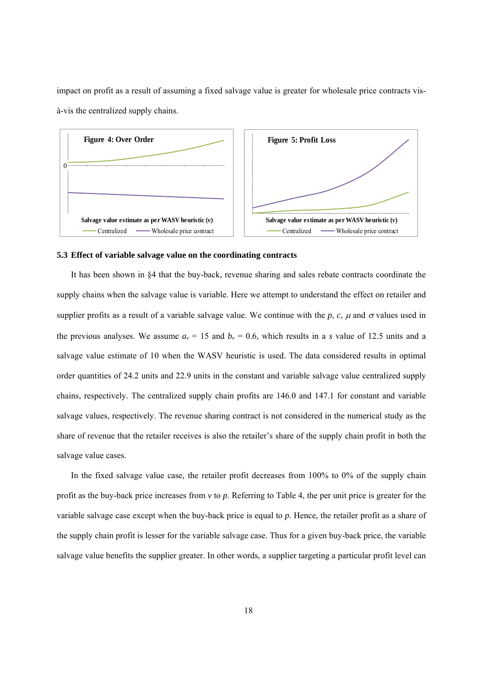impact on profit as a result of assuming a fixed salvage value is greater for wholesale price contracts visà-vis the centralized supply chains.



#### **5.3 Effect of variable salvage value on the coordinating contracts**

It has been shown in §4 that the buy-back, revenue sharing and sales rebate contracts coordinate the supply chains when the salvage value is variable. Here we attempt to understand the effect on retailer and supplier profits as a result of a variable salvage value. We continue with the *p*, *c*,  $\mu$  and  $\sigma$  values used in the previous analyses. We assume  $a_v = 15$  and  $b_v = 0.6$ , which results in a *s* value of 12.5 units and a salvage value estimate of 10 when the WASV heuristic is used. The data considered results in optimal order quantities of 24.2 units and 22.9 units in the constant and variable salvage value centralized supply chains, respectively. The centralized supply chain profits are 146.0 and 147.1 for constant and variable salvage values, respectively. The revenue sharing contract is not considered in the numerical study as the share of revenue that the retailer receives is also the retailer's share of the supply chain profit in both the salvage value cases.

In the fixed salvage value case, the retailer profit decreases from 100% to 0% of the supply chain profit as the buy-back price increases from *v* to *p*. Referring to Table 4, the per unit price is greater for the variable salvage case except when the buy-back price is equal to *p*. Hence, the retailer profit as a share of the supply chain profit is lesser for the variable salvage case. Thus for a given buy-back price, the variable salvage value benefits the supplier greater. In other words, a supplier targeting a particular profit level can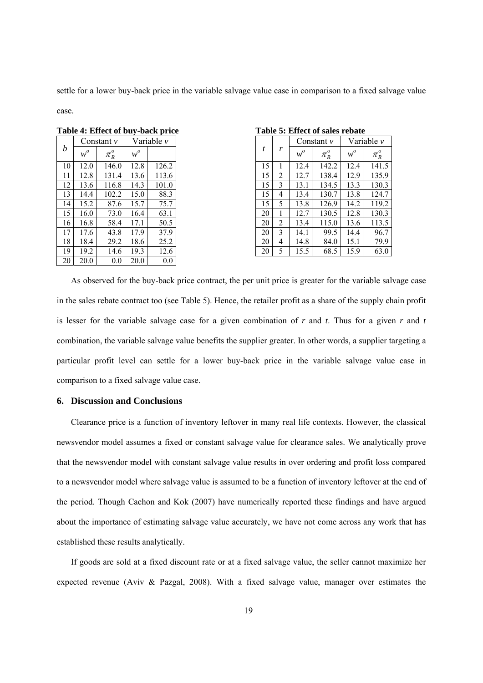settle for a lower buy-back price in the variable salvage value case in comparison to a fixed salvage value

case.

|    |       | Constant $\nu$ |       | Variable v |    |
|----|-------|----------------|-------|------------|----|
| b  | $w^o$ | $\pi_R^o$      | $w^o$ |            | t  |
| 10 | 12.0  | 146.0          | 12.8  | 126.2      | 15 |
| 11 | 12.8  | 131.4          | 13.6  | 113.6      | 15 |
| 12 | 13.6  | 116.8          | 14.3  | 101.0      | 15 |
| 13 | 14.4  | 102.2          | 15.0  | 88.3       | 15 |
| 14 | 15.2  | 87.6           | 15.7  | 75.7       | 15 |
| 15 | 16.0  | 73.0           | 16.4  | 63.1       | 20 |
| 16 | 16.8  | 58.4           | 17.1  | 50.5       | 20 |
| 17 | 17.6  | 43.8           | 17.9  | 37.9       | 20 |
| 18 | 18.4  | 29.2           | 18.6  | 25.2       | 20 |
| 19 | 19.2  | 14.6           | 19.3  | 12.6       | 20 |
| 20 | 20.0  | 0.0            | 20.0  | 0.0        |    |

Table 4: Effect of buy-back price Table 5: Effect of sales rebate

| <b>Table 5: Effect of sales rebat</b> |  |  |
|---------------------------------------|--|--|
|---------------------------------------|--|--|

|    |       | Constant $\nu$ |       | Variable v |    |                |       | Constant $\nu$ | Variable v |  |
|----|-------|----------------|-------|------------|----|----------------|-------|----------------|------------|--|
| b  | $w^o$ | $\pi_R^o$      | $w^o$ |            | t  | r              | $w^o$ | $\pi_R^o$      | $w^o$      |  |
| 10 | 12.0  | 146.0          | 12.8  | 126.2      | 15 |                | 12.4  | 142.2          | 12.4       |  |
| 11 | 12.8  | 131.4          | 13.6  | 113.6      | 15 | 2              | 12.7  | 138.4          | 12.9       |  |
| 12 | 13.6  | 116.8          | 14.3  | 101.0      | 15 | 3              | 13.1  | 134.5          | 13.3       |  |
| 13 | 14.4  | 102.2          | 15.0  | 88.3       | 15 | 4              | 13.4  | 130.7          | 13.8       |  |
| 14 | 15.2  | 87.6           | 15.7  | 75.7       | 15 | 5              | 13.8  | 126.9          | 14.2       |  |
| 15 | 16.0  | 73.0           | 16.4  | 63.1       | 20 |                | 12.7  | 130.5          | 12.8       |  |
| 16 | 16.8  | 58.4           | 17.1  | 50.5       | 20 | $\overline{2}$ | 13.4  | 115.0          | 13.6       |  |
| 17 | 17.6  | 43.8           | 17.9  | 37.9       | 20 | 3              | 14.1  | 99.5           | 14.4       |  |
| 18 | 18.4  | 29.2           | 18.6  | 25.2       | 20 | 4              | 14.8  | 84.0           | 15.1       |  |
| 19 | 19.2  | 14.6           | 19.3  | 12.6       | 20 | 5              | 15.5  | 68.5           | 15.9       |  |

As observed for the buy-back price contract, the per unit price is greater for the variable salvage case in the sales rebate contract too (see Table 5). Hence, the retailer profit as a share of the supply chain profit is lesser for the variable salvage case for a given combination of *r* and *t*. Thus for a given *r* and *t* combination, the variable salvage value benefits the supplier greater. In other words, a supplier targeting a particular profit level can settle for a lower buy-back price in the variable salvage value case in comparison to a fixed salvage value case.

#### **6. Discussion and Conclusions**

Clearance price is a function of inventory leftover in many real life contexts. However, the classical newsvendor model assumes a fixed or constant salvage value for clearance sales. We analytically prove that the newsvendor model with constant salvage value results in over ordering and profit loss compared to a newsvendor model where salvage value is assumed to be a function of inventory leftover at the end of the period. Though Cachon and Kok (2007) have numerically reported these findings and have argued about the importance of estimating salvage value accurately, we have not come across any work that has established these results analytically.

If goods are sold at a fixed discount rate or at a fixed salvage value, the seller cannot maximize her expected revenue (Aviv & Pazgal, 2008). With a fixed salvage value, manager over estimates the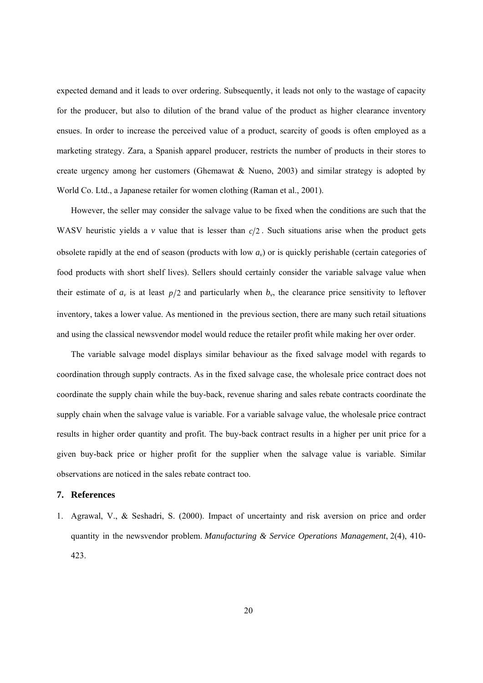expected demand and it leads to over ordering. Subsequently, it leads not only to the wastage of capacity for the producer, but also to dilution of the brand value of the product as higher clearance inventory ensues. In order to increase the perceived value of a product, scarcity of goods is often employed as a marketing strategy. Zara, a Spanish apparel producer, restricts the number of products in their stores to create urgency among her customers (Ghemawat & Nueno, 2003) and similar strategy is adopted by World Co. Ltd., a Japanese retailer for women clothing (Raman et al., 2001).

However, the seller may consider the salvage value to be fixed when the conditions are such that the WASV heuristic yields a  $\nu$  value that is lesser than  $c/2$ . Such situations arise when the product gets obsolete rapidly at the end of season (products with low *av*) or is quickly perishable (certain categories of food products with short shelf lives). Sellers should certainly consider the variable salvage value when their estimate of  $a<sub>v</sub>$  is at least  $p/2$  and particularly when  $b<sub>v</sub>$ , the clearance price sensitivity to leftover inventory, takes a lower value. As mentioned in the previous section, there are many such retail situations and using the classical newsvendor model would reduce the retailer profit while making her over order.

The variable salvage model displays similar behaviour as the fixed salvage model with regards to coordination through supply contracts. As in the fixed salvage case, the wholesale price contract does not coordinate the supply chain while the buy-back, revenue sharing and sales rebate contracts coordinate the supply chain when the salvage value is variable. For a variable salvage value, the wholesale price contract results in higher order quantity and profit. The buy-back contract results in a higher per unit price for a given buy-back price or higher profit for the supplier when the salvage value is variable. Similar observations are noticed in the sales rebate contract too.

#### **7. References**

1. Agrawal, V., & Seshadri, S. (2000). Impact of uncertainty and risk aversion on price and order quantity in the newsvendor problem. *Manufacturing & Service Operations Management*, 2(4), 410- 423.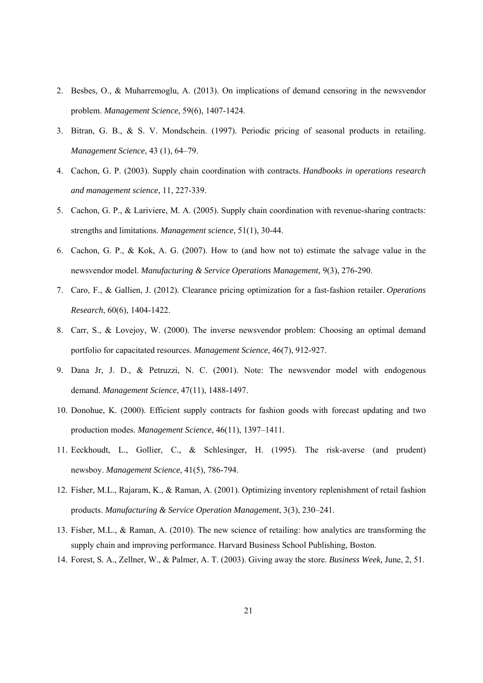- 2. Besbes, O., & Muharremoglu, A. (2013). On implications of demand censoring in the newsvendor problem. *Management Science*, 59(6), 1407-1424.
- 3. Bitran, G. B., & S. V. Mondschein. (1997). Periodic pricing of seasonal products in retailing. *Management Science*, 43 (1), 64–79.
- 4. Cachon, G. P. (2003). Supply chain coordination with contracts. *Handbooks in operations research and management science*, 11, 227-339.
- 5. Cachon, G. P., & Lariviere, M. A. (2005). Supply chain coordination with revenue-sharing contracts: strengths and limitations. *Management science*, 51(1), 30-44.
- 6. Cachon, G. P., & Kok, A. G. (2007). How to (and how not to) estimate the salvage value in the newsvendor model. *Manufacturing & Service Operations Management*, 9(3), 276-290.
- 7. Caro, F., & Gallien, J. (2012). Clearance pricing optimization for a fast-fashion retailer. *Operations Research*, 60(6), 1404-1422.
- 8. Carr, S., & Lovejoy, W. (2000). The inverse newsvendor problem: Choosing an optimal demand portfolio for capacitated resources. *Management Science*, 46(7), 912-927.
- 9. Dana Jr, J. D., & Petruzzi, N. C. (2001). Note: The newsvendor model with endogenous demand. *Management Science*, 47(11), 1488-1497.
- 10. Donohue, K. (2000). Efficient supply contracts for fashion goods with forecast updating and two production modes. *Management Science*, 46(11), 1397–1411.
- 11. Eeckhoudt, L., Gollier, C., & Schlesinger, H. (1995). The risk-averse (and prudent) newsboy. *Management Science*, 41(5), 786-794.
- 12. Fisher, M.L., Rajaram, K., & Raman, A. (2001). Optimizing inventory replenishment of retail fashion products. *Manufacturing & Service Operation Management*, 3(3), 230–241.
- 13. Fisher, M.L., & Raman, A. (2010). The new science of retailing: how analytics are transforming the supply chain and improving performance. Harvard Business School Publishing, Boston.
- 14. Forest, S. A., Zellner, W., & Palmer, A. T. (2003). Giving away the store. *Business Week,* June, 2, 51.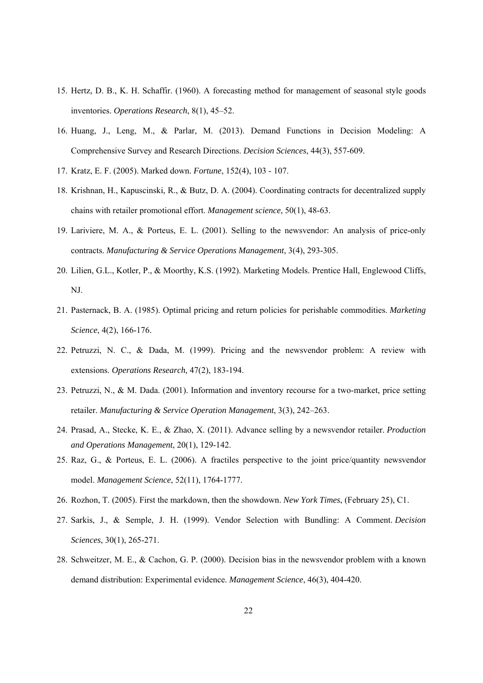- 15. Hertz, D. B., K. H. Schaffir. (1960). A forecasting method for management of seasonal style goods inventories. *Operations Research*, 8(1), 45–52.
- 16. Huang, J., Leng, M., & Parlar, M. (2013). Demand Functions in Decision Modeling: A Comprehensive Survey and Research Directions. *Decision Sciences*, 44(3), 557-609.
- 17. Kratz, E. F. (2005). Marked down. *Fortune*, 152(4), 103 107.
- 18. Krishnan, H., Kapuscinski, R., & Butz, D. A. (2004). Coordinating contracts for decentralized supply chains with retailer promotional effort. *Management science*, 50(1), 48-63.
- 19. Lariviere, M. A., & Porteus, E. L. (2001). Selling to the newsvendor: An analysis of price-only contracts. *Manufacturing & Service Operations Management*, 3(4), 293-305.
- 20. Lilien, G.L., Kotler, P., & Moorthy, K.S. (1992). Marketing Models. Prentice Hall, Englewood Cliffs, NJ.
- 21. Pasternack, B. A. (1985). Optimal pricing and return policies for perishable commodities. *Marketing Science*, 4(2), 166-176.
- 22. Petruzzi, N. C., & Dada, M. (1999). Pricing and the newsvendor problem: A review with extensions. *Operations Research*, 47(2), 183-194.
- 23. Petruzzi, N., & M. Dada. (2001). Information and inventory recourse for a two-market, price setting retailer. *Manufacturing & Service Operation Management*, 3(3), 242–263.
- 24. Prasad, A., Stecke, K. E., & Zhao, X. (2011). Advance selling by a newsvendor retailer. *Production and Operations Management*, 20(1), 129-142.
- 25. Raz, G., & Porteus, E. L. (2006). A fractiles perspective to the joint price/quantity newsvendor model. *Management Science*, 52(11), 1764-1777.
- 26. Rozhon, T. (2005). First the markdown, then the showdown. *New York Times*, (February 25), C1.
- 27. Sarkis, J., & Semple, J. H. (1999). Vendor Selection with Bundling: A Comment. *Decision Sciences*, 30(1), 265-271.
- 28. Schweitzer, M. E., & Cachon, G. P. (2000). Decision bias in the newsvendor problem with a known demand distribution: Experimental evidence. *Management Science*, 46(3), 404-420.